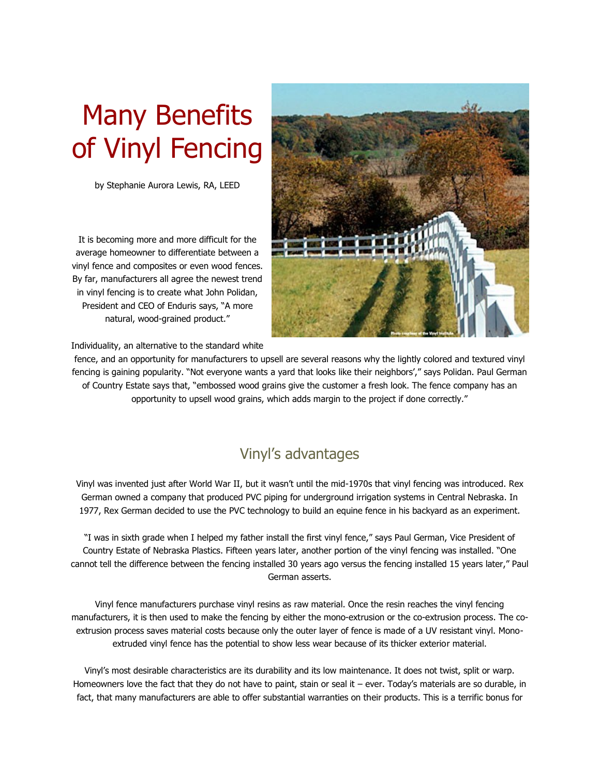# Many Benefits of Vinyl Fencing

by Stephanie Aurora Lewis, RA, LEED

It is becoming more and more difficult for the average homeowner to differentiate between a vinyl fence and composites or even wood fences. By far, manufacturers all agree the newest trend in vinyl fencing is to create what John Polidan, President and CEO of Enduris says, "A more natural, wood-grained product."



Individuality, an alternative to the standard white

fence, and an opportunity for manufacturers to upsell are several reasons why the lightly colored and textured vinyl fencing is gaining popularity. "Not everyone wants a yard that looks like their neighbors'," says Polidan. Paul German of Country Estate says that, "embossed wood grains give the customer a fresh look. The fence company has an opportunity to upsell wood grains, which adds margin to the project if done correctly."

## Vinyl's advantages

Vinyl was invented just after World War II, but it wasn't until the mid-1970s that vinyl fencing was introduced. Rex German owned a company that produced PVC piping for underground irrigation systems in Central Nebraska. In 1977, Rex German decided to use the PVC technology to build an equine fence in his backyard as an experiment.

"I was in sixth grade when I helped my father install the first vinyl fence," says Paul German, Vice President of Country Estate of Nebraska Plastics. Fifteen years later, another portion of the vinyl fencing was installed. "One cannot tell the difference between the fencing installed 30 years ago versus the fencing installed 15 years later," Paul German asserts.

Vinyl fence manufacturers purchase vinyl resins as raw material. Once the resin reaches the vinyl fencing manufacturers, it is then used to make the fencing by either the mono-extrusion or the co-extrusion process. The coextrusion process saves material costs because only the outer layer of fence is made of a UV resistant vinyl. Monoextruded vinyl fence has the potential to show less wear because of its thicker exterior material.

Vinyl's most desirable characteristics are its durability and its low maintenance. It does not twist, split or warp. Homeowners love the fact that they do not have to paint, stain or seal it – ever. Today's materials are so durable, in fact, that many manufacturers are able to offer substantial warranties on their products. This is a terrific bonus for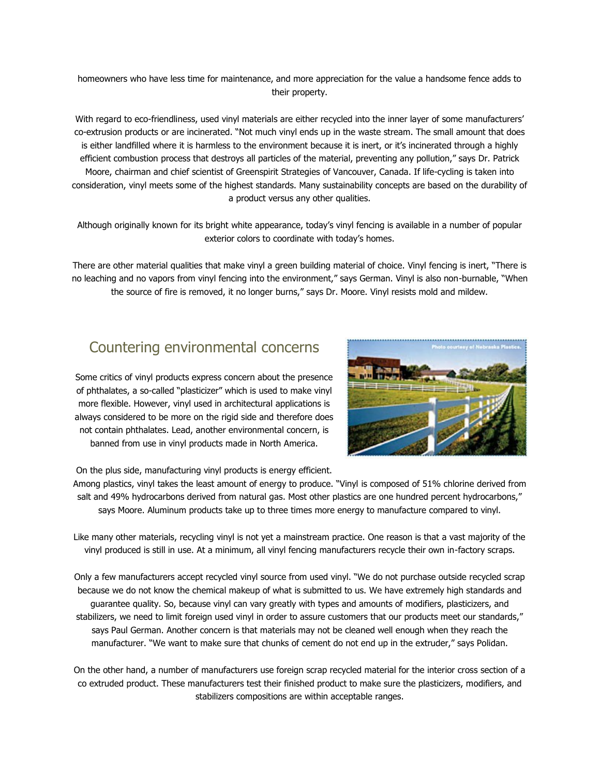homeowners who have less time for maintenance, and more appreciation for the value a handsome fence adds to their property.

With regard to eco-friendliness, used vinyl materials are either recycled into the inner layer of some manufacturers' co-extrusion products or are incinerated. "Not much vinyl ends up in the waste stream. The small amount that does is either landfilled where it is harmless to the environment because it is inert, or it's incinerated through a highly efficient combustion process that destroys all particles of the material, preventing any pollution," says Dr. Patrick Moore, chairman and chief scientist of Greenspirit Strategies of Vancouver, Canada. If life-cycling is taken into consideration, vinyl meets some of the highest standards. Many sustainability concepts are based on the durability of a product versus any other qualities.

Although originally known for its bright white appearance, today's vinyl fencing is available in a number of popular exterior colors to coordinate with today's homes.

There are other material qualities that make vinyl a green building material of choice. Vinyl fencing is inert, "There is no leaching and no vapors from vinyl fencing into the environment," says German. Vinyl is also non-burnable, "When the source of fire is removed, it no longer burns," says Dr. Moore. Vinyl resists mold and mildew.

#### Countering environmental concerns

Some critics of vinyl products express concern about the presence of phthalates, a so-called "plasticizer" which is used to make vinyl more flexible. However, vinyl used in architectural applications is always considered to be more on the rigid side and therefore does not contain phthalates. Lead, another environmental concern, is banned from use in vinyl products made in North America.



On the plus side, manufacturing vinyl products is energy efficient.

Among plastics, vinyl takes the least amount of energy to produce. "Vinyl is composed of 51% chlorine derived from salt and 49% hydrocarbons derived from natural gas. Most other plastics are one hundred percent hydrocarbons," says Moore. Aluminum products take up to three times more energy to manufacture compared to vinyl.

Like many other materials, recycling vinyl is not yet a mainstream practice. One reason is that a vast majority of the vinyl produced is still in use. At a minimum, all vinyl fencing manufacturers recycle their own in-factory scraps.

Only a few manufacturers accept recycled vinyl source from used vinyl. "We do not purchase outside recycled scrap because we do not know the chemical makeup of what is submitted to us. We have extremely high standards and guarantee quality. So, because vinyl can vary greatly with types and amounts of modifiers, plasticizers, and stabilizers, we need to limit foreign used vinyl in order to assure customers that our products meet our standards," says Paul German. Another concern is that materials may not be cleaned well enough when they reach the manufacturer. "We want to make sure that chunks of cement do not end up in the extruder," says Polidan.

On the other hand, a number of manufacturers use foreign scrap recycled material for the interior cross section of a co extruded product. These manufacturers test their finished product to make sure the plasticizers, modifiers, and stabilizers compositions are within acceptable ranges.